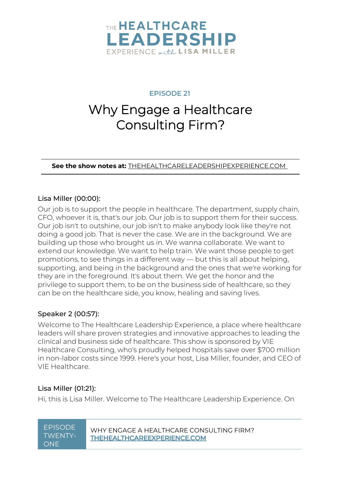

**EPISODE 21**

# Why Engage a Healthcare Consulting Firm?

**See the show notes at:** [THEHEALTHCARELEADERSHIPEXPERIENCE.COM](https://www.thehealthcareleadershipexperience.com/why-engage-a-healthcare-consulting-firm-ep21/)

#### Lisa Miller [\(00:00\)](https://www.rev.com/transcript-editor/Edit?token=vikCKcr8fw4-y4uDqWuwo__ceFYRyIrFUM3evVk2_m-ugU4lKvylKM2gfkgomZ2lmXXsGx34auCmjY3DDK9C4_Xne7I&loadFrom=DocumentDeeplink&ts=0.24):

Our job is to support the people in healthcare. The department, supply chain, CFO, whoever it is, that's our job. Our job is to support them for their success. Our job isn't to outshine, our job isn't to make anybody look like they're not doing a good job. That is never the case. We are in the background. We are building up those who brought us in. We wanna collaborate. We want to extend our knowledge. We want to help train. We want those people to get promotions, to see things in a different way — but this is all about helping, supporting, and being in the background and the ones that we're working for they are in the foreground. It's about them. We get the honor and the privilege to support them, to be on the business side of healthcare, so they can be on the healthcare side, you know, healing and saving lives.

#### Speaker 2 [\(00:57\)](https://www.rev.com/transcript-editor/Edit?token=NGWJdW6GMVNVoq4jflbSP1H0iAG3XFunOx-oqqfqTyIlUE4Fl7ojuo5JD5U05sUu6Tasq7jHECGzaAm0E7YxmdSb95s&loadFrom=DocumentDeeplink&ts=57.8):

Welcome to The Healthcare Leadership Experience, a place where healthcare leaders will share proven strategies and innovative approaches to leading the clinical and business side of healthcare. This show is sponsored by VIE Healthcare Consulting, who's proudly helped hospitals save over \$700 million in non-labor costs since 1999. Here's your host, Lisa Miller, founder, and CEO of VIE Healthcare.

#### Lisa Miller [\(01:21\)](https://www.rev.com/transcript-editor/Edit?token=h0ihFVHBiMXJzUDBtmJ4YQYuVXhjZiGC1ykvEAMqHJDUjDo5tcMC8yEIC_DbYoHCabXN7xmtAESK681iogR5p9hhzzU&loadFrom=DocumentDeeplink&ts=81.52):

Hi, this is Lisa Miller. Welcome to The Healthcare Leadership Experience. On

# TWENTY-**ONE**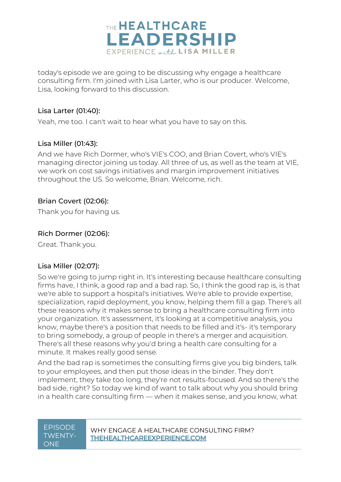

today's episode we are going to be discussing why engage a healthcare consulting firm. I'm joined with Lisa Larter, who is our producer. Welcome, Lisa, looking forward to this discussion.

#### Lisa Larter [\(01:40\)](https://www.rev.com/transcript-editor/Edit?token=d6SErGDxjTulf_0RZNYkWPMKXNhId5qM4h0OnUIe6hVmawmsBW8Rz54G0i6Dx2ZBHQOP-jc27w37JpX6P8ybF9wYuGo&loadFrom=DocumentDeeplink&ts=100.13):

Yeah, me too. I can't wait to hear what you have to say on this.

#### Lisa Miller [\(01:43\)](https://www.rev.com/transcript-editor/Edit?token=82376_cIRktyz5u7eNH4ivQAEy-emWegXjWMYZpjXGvMU7md0cDyAfbEV4X4Is6CGlt0GcbcPTMp8gBBjU91jzYVo4g&loadFrom=DocumentDeeplink&ts=103.33):

And we have Rich Dormer, who's VIE's COO, and Brian Covert, who's VIE's managing director joining us today. All three of us, as well as the team at VIE, we work on cost savings initiatives and margin improvement initiatives throughout the US. So welcome, Brian. Welcome, rich.

#### Brian Covert [\(02:06\)](https://www.rev.com/transcript-editor/Edit?token=3HZpIGDrlopSJIIF9X_uxhmsVwPjv5G0drfGH3RbC9cbosUe9huLqk8jyT-raFogdjHaXNeQ3T-7BWrB81Yl8qG8WuU&loadFrom=DocumentDeeplink&ts=126):

Thank you for having us.

#### Rich Dormer [\(02:06\)](https://www.rev.com/transcript-editor/Edit?token=UdxVWLWVuoW1lT3sWYOXESElVEF3XSDIuRUPT-KmU39e-kX5SY5WrHkP1tjecdER_pxb00zrk13FTL26yBXzLSM9pUY&loadFrom=DocumentDeeplink&ts=126.82):

Great. Thank you.

#### Lisa Miller [\(02:07\)](https://www.rev.com/transcript-editor/Edit?token=k8hA79736bMJmexMFnp3eVoKQztMSJttKWEYel6VnFiCrSw5j4K5FwXtspYFu1I0GUA-D33zkAsdk_S6Q4eoHrQkSr8&loadFrom=DocumentDeeplink&ts=127.89):

So we're going to jump right in. It's interesting because healthcare consulting firms have, I think, a good rap and a bad rap. So, I think the good rap is, is that we're able to support a hospital's initiatives. We're able to provide expertise, specialization, rapid deployment, you know, helping them fill a gap. There's all these reasons why it makes sense to bring a healthcare consulting firm into your organization. It's assessment, it's looking at a competitive analysis, you know, maybe there's a position that needs to be filled and it's- it's temporary to bring somebody, a group of people in there's a merger and acquisition. There's all these reasons why you'd bring a health care consulting for a minute. It makes really good sense.

And the bad rap is sometimes the consulting firms give you big binders, talk to your employees, and then put those ideas in the binder. They don't implement, they take too long, they're not results-focused. And so there's the bad side, right? So today we kind of want to talk about why you should bring in a health care consulting firm — when it makes sense, and you know, what

# TWENTY-ONE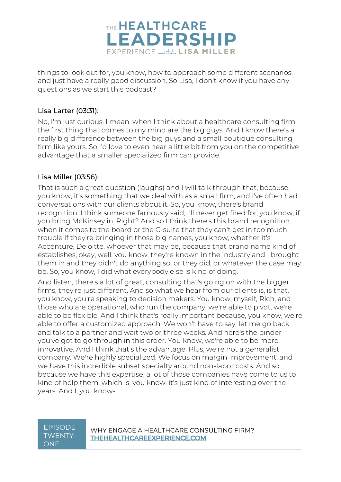

things to look out for, you know, how to approach some different scenarios, and just have a really good discussion. So Lisa, I don't know if you have any questions as we start this podcast?

#### Lisa Larter [\(03:31\)](https://www.rev.com/transcript-editor/Edit?token=AAm96bRG11sMxkQh0gYOpMYamkBdtgfBwdSdtO_CIBIrKr5mUKtKonkwVPRzaxvjY26MTMYLuzLLoV4l9VA_7mLD9hA&loadFrom=DocumentDeeplink&ts=211.23):

No, I'm just curious. I mean, when I think about a healthcare consulting firm, the first thing that comes to my mind are the big guys. And I know there's a really big difference between the big guys and a small boutique consulting firm like yours. So I'd love to even hear a little bit from you on the competitive advantage that a smaller specialized firm can provide.

#### Lisa Miller [\(03:56\)](https://www.rev.com/transcript-editor/Edit?token=jcYDbVDyBSAkGMzKj9LbbBA0V7__Q9BIdi9m1QUHajw9CKQCt5YLTW0z_9bNiiEKDdbr_I2a9Gxz_MkGvNoP8smz2ss&loadFrom=DocumentDeeplink&ts=236.82):

That is such a great question (laughs) and I will talk through that, because, you know, it's something that we deal with as a small firm, and I've often had conversations with our clients about it. So, you know, there's brand recognition. I think someone famously said, I'll never get fired for, you know, if you bring McKinsey in. Right? And so I think there's this brand recognition when it comes to the board or the C-suite that they can't get in too much trouble if they're bringing in those big names, you know, whether it's Accenture, Deloitte, whoever that may be, because that brand name kind of establishes, okay, well, you know, they're known in the industry and I brought them in and they didn't do anything so, or they did, or whatever the case may be. So, you know, I did what everybody else is kind of doing.

And listen, there's a lot of great, consulting that's going on with the bigger firms, they're just different. And so what we hear from our clients is, is that, you know, you're speaking to decision makers. You know, myself, Rich, and those who are operational, who run the company, we're able to pivot, we're able to be flexible. And I think that's really important because, you know, we're able to offer a customized approach. We won't have to say, let me go back and talk to a partner and wait two or three weeks. And here's the binder you've got to go through in this order. You know, we're able to be more innovative. And I think that's the advantage. Plus, we're not a generalist company. We're highly specialized. We focus on margin improvement, and we have this incredible subset specialty around non-labor costs. And so, because we have this expertise, a lot of those companies have come to us to kind of help them, which is, you know, it's just kind of interesting over the years. And I, you know-

# TWENTY-**ONE**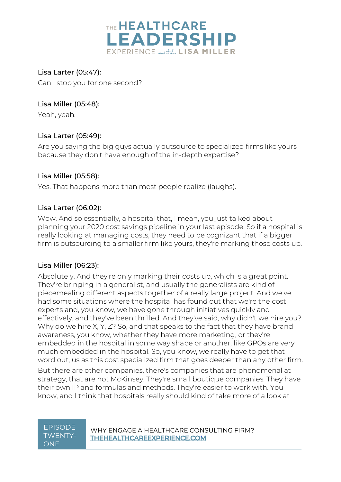

Lisa Larter [\(05:47\)](https://www.rev.com/transcript-editor/Edit?token=M9jj0lkv9R9jQJ0Tv6dWTLtpzFPnUIwIAzOB6KBYBmxI_XAO5vSk4s07n4R-fDioDGUihq9u-Wrs0c1ykR9dNDpuNqQ&loadFrom=DocumentDeeplink&ts=347.6): Can I stop you for one second?

### Lisa Miller [\(05:48\)](https://www.rev.com/transcript-editor/Edit?token=vgvhHCzDLyR557ADV-DxRhLISmZkJyazmlX9fInhLzE1EwJ8e5TjReZsoZjFHa_Sgatp9C-mivvnEkhLOlUZnohY-GA&loadFrom=DocumentDeeplink&ts=348.92):

Yeah, yeah.

#### Lisa Larter [\(05:49\)](https://www.rev.com/transcript-editor/Edit?token=ht_K1dGi3KkgapM3nHqnH2f5h6ribbEky8g54av-4QRk9bfqCj1bMJQHXUJXTY7CY04Wug5VJoOGrFwm2goZqNjfwzY&loadFrom=DocumentDeeplink&ts=349.66):

Are you saying the big guys actually outsource to specialized firms like yours because they don't have enough of the in-depth expertise?

#### Lisa Miller [\(05:58\)](https://www.rev.com/transcript-editor/Edit?token=EvmW1LL-_-ZsUGgq_14FfUIyZff4OLI5xCJaqDOSa0uZt8o3CVpDc06Nk0kvAbZJ_sbI6Qxvwc0b3wrmkwFHhfvxHrg&loadFrom=DocumentDeeplink&ts=358.26):

Yes. That happens more than most people realize (laughs).

#### Lisa Larter [\(06:02\)](https://www.rev.com/transcript-editor/Edit?token=4LlA4A5iE0KBbhrrE7XEroruAAIt7S9qxTDqhh7a7Z_Wiy028-ZBDC_1N5rEoo7ohgYaDXiNjnZARiMWfWdLGTx0wzU&loadFrom=DocumentDeeplink&ts=362.3):

Wow. And so essentially, a hospital that, I mean, you just talked about planning your 2020 cost savings pipeline in your last episode. So if a hospital is really looking at managing costs, they need to be cognizant that if a bigger firm is outsourcing to a smaller firm like yours, they're marking those costs up.

#### Lisa Miller [\(06:23\)](https://www.rev.com/transcript-editor/Edit?token=L4_yyhkKtwf4FUQ9UzZyOSDF1-aeBYjvOFjNp_j8UadxZSwsSs7lnBxjylh9LBkUbyTjgDfb22ROnGqvwn9DRmdK0yE&loadFrom=DocumentDeeplink&ts=383.17):

Absolutely. And they're only marking their costs up, which is a great point. They're bringing in a generalist, and usually the generalists are kind of piecemealing different aspects together of a really large project. And we've had some situations where the hospital has found out that we're the cost experts and, you know, we have gone through initiatives quickly and effectively, and they've been thrilled. And they've said, why didn't we hire you? Why do we hire X, Y, Z? So, and that speaks to the fact that they have brand awareness, you know, whether they have more marketing, or they're embedded in the hospital in some way shape or another, like GPOs are very much embedded in the hospital. So, you know, we really have to get that word out, us as this cost specialized firm that goes deeper than any other firm.

But there are other companies, there's companies that are phenomenal at strategy, that are not McKinsey. They're small boutique companies. They have their own IP and formulas and methods. They're easier to work with. You know, and I think that hospitals really should kind of take more of a look at

# TWENTY-ONE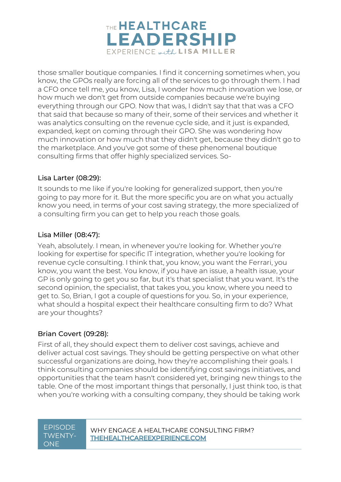

those smaller boutique companies. I find it concerning sometimes when, you know, the GPOs really are forcing all of the services to go through them. I had a CFO once tell me, you know, Lisa, I wonder how much innovation we lose, or how much we don't get from outside companies because we're buying everything through our GPO. Now that was, I didn't say that that was a CFO that said that because so many of their, some of their services and whether it was analytics consulting on the revenue cycle side, and it just is expanded, expanded, kept on coming through their GPO. She was wondering how much innovation or how much that they didn't get, because they didn't go to the marketplace. And you've got some of these phenomenal boutique consulting firms that offer highly specialized services. So-

#### Lisa Larter [\(08:29\)](https://www.rev.com/transcript-editor/Edit?token=8T9GkUcvV9-OBFfym5Ykcw5dOqXMPe-L6hd8sZ1aKqYLEozEw2503eREetD0q8jYrcYRM-hApS3wCjcWcYedeuhg2e4&loadFrom=DocumentDeeplink&ts=509.4):

It sounds to me like if you're looking for generalized support, then you're going to pay more for it. But the more specific you are on what you actually know you need, in terms of your cost saving strategy, the more specialized of a consulting firm you can get to help you reach those goals.

#### Lisa Miller [\(08:47\)](https://www.rev.com/transcript-editor/Edit?token=PJlWHesUg2y3eRzHkDD90SuLmwz_n0NgpkRASym8WbphEMbl_ygL4srwx2S_pR6ZXuitx5SgPUtNbzWduHYTdBG_SMo&loadFrom=DocumentDeeplink&ts=527.8):

Yeah, absolutely. I mean, in whenever you're looking for. Whether you're looking for expertise for specific IT integration, whether you're looking for revenue cycle consulting. I think that, you know, you want the Ferrari, you know, you want the best. You know, if you have an issue, a health issue, your GP is only going to get you so far, but it's that specialist that you want. It's the second opinion, the specialist, that takes you, you know, where you need to get to. So, Brian, I got a couple of questions for you. So, in your experience, what should a hospital expect their healthcare consulting firm to do? What are your thoughts?

#### Brian Covert [\(09:28\)](https://www.rev.com/transcript-editor/Edit?token=S23r7KSNn-5oRnMsQXiXO0bOCovdkB0fGdp6RtArJQZQzdjuvOLRATwRohBm3-sRC28HFcenjJegrqd1-0AJxF_PNZc&loadFrom=DocumentDeeplink&ts=568.46):

First of all, they should expect them to deliver cost savings, achieve and deliver actual cost savings. They should be getting perspective on what other successful organizations are doing, how they're accomplishing their goals. I think consulting companies should be identifying cost savings initiatives, and opportunities that the team hasn't considered yet, bringing new things to the table. One of the most important things that personally, I just think too, is that when you're working with a consulting company, they should be taking work

# TWENTY-ONE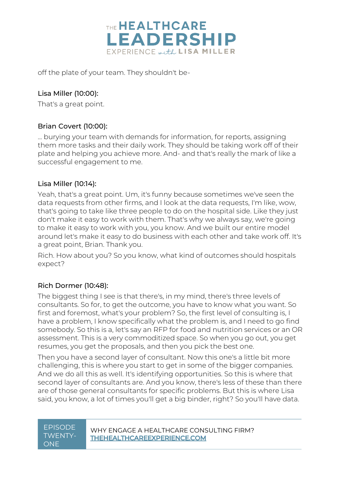

off the plate of your team. They shouldn't be-

### Lisa Miller [\(10:00\)](https://www.rev.com/transcript-editor/Edit?token=ok5Ml-6q8ro_T6c-tv5nfGc058tO3psZHLurY8fEMdojMMqZfSrhI5_R2pfX5JFfTEvtyrtNFtukqfAmLI7o247EWpw&loadFrom=DocumentDeeplink&ts=600.41):

That's a great point.

### Brian Covert [\(10:00\)](https://www.rev.com/transcript-editor/Edit?token=N3dcxH74dxkcL8LIVMnZ154oB6ZC8prYufMiEbKMT_iEzzJt9k33HFDQ0kcwR0hwDmY90CWdmZ1vhqA1t-lMi3SxcI8&loadFrom=DocumentDeeplink&ts=600.9):

... burying your team with demands for information, for reports, assigning them more tasks and their daily work. They should be taking work off of their plate and helping you achieve more. And- and that's really the mark of like a successful engagement to me.

#### Lisa Miller [\(10:14\)](https://www.rev.com/transcript-editor/Edit?token=2Tk7HMV_UJwXQ5M1P9-HDHTyjp2AP6ksTXbfayTSjMKp_jLZKU-COwYUelkLoIrpkvFhxQTIFhQVw2RGFcbH1rFLh9Y&loadFrom=DocumentDeeplink&ts=614.16):

Yeah, that's a great point. Um, it's funny because sometimes we've seen the data requests from other firms, and I look at the data requests, I'm like, wow, that's going to take like three people to do on the hospital side. Like they just don't make it easy to work with them. That's why we always say, we're going to make it easy to work with you, you know. And we built our entire model around let's make it easy to do business with each other and take work off. It's a great point, Brian. Thank you.

Rich. How about you? So you know, what kind of outcomes should hospitals expect?

## Rich Dormer [\(10:48\)](https://www.rev.com/transcript-editor/Edit?token=tWbCug9Jzk5dR_76BfiqiK2yRWMaekphO18a3JXWrtl9z_Ml8P0bqIDyoFudPxRmcia76oc653EcniXAWpD8a3LoaN0&loadFrom=DocumentDeeplink&ts=648.98):

The biggest thing I see is that there's, in my mind, there's three levels of consultants. So for, to get the outcome, you have to know what you want. So first and foremost, what's your problem? So, the first level of consulting is, I have a problem, I know specifically what the problem is, and I need to go find somebody. So this is a, let's say an RFP for food and nutrition services or an OR assessment. This is a very commoditized space. So when you go out, you get resumes, you get the proposals, and then you pick the best one.

Then you have a second layer of consultant. Now this one's a little bit more challenging, this is where you start to get in some of the bigger companies. And we do all this as well. It's identifying opportunities. So this is where that second layer of consultants are. And you know, there's less of these than there are of those general consultants for specific problems. But this is where Lisa said, you know, a lot of times you'll get a big binder, right? So you'll have data.

# TWENTY-ONE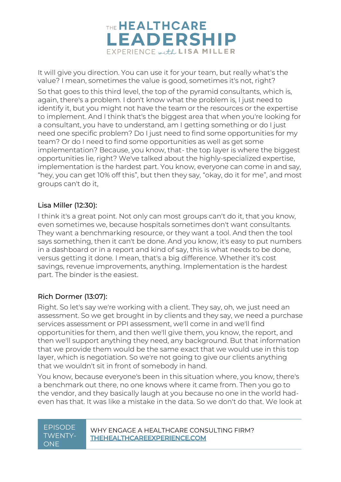

It will give you direction. You can use it for your team, but really what's the value? I mean, sometimes the value is good, sometimes it's not, right?

So that goes to this third level, the top of the pyramid consultants, which is, again, there's a problem. I don't know what the problem is, I just need to identify it, but you might not have the team or the resources or the expertise to implement. And I think that's the biggest area that when you're looking for a consultant, you have to understand, am I getting something or do I just need one specific problem? Do I just need to find some opportunities for my team? Or do I need to find some opportunities as well as get some implementation? Because, you know, that- the top layer is where the biggest opportunities lie, right? We've talked about the highly-specialized expertise, implementation is the hardest part. You know, everyone can come in and say, "hey, you can get 10% off this", but then they say, "okay, do it for me", and most groups can't do it,

#### Lisa Miller [\(12:30\)](https://www.rev.com/transcript-editor/Edit?token=Q5Tu5XUwi7EPl5lcRV86VHMhEBNHHrQUsP-12IDLYNUY-yzvrkqE9BiUn_J07lRuwHWpy31vo8HuolhrQcFbhtGEolY&loadFrom=DocumentDeeplink&ts=750.96):

I think it's a great point. Not only can most groups can't do it, that you know, even sometimes we, because hospitals sometimes don't want consultants. They want a benchmarking resource, or they want a tool. And then the tool says something, then it can't be done. And you know, it's easy to put numbers in a dashboard or in a report and kind of say, this is what needs to be done, versus getting it done. I mean, that's a big difference. Whether it's cost savings, revenue improvements, anything. Implementation is the hardest part. The binder is the easiest.

#### Rich Dormer [\(13:07\)](https://www.rev.com/transcript-editor/Edit?token=cKr3Zv5XxHHCtV5K2yt88dLUyXq_-x_ABH1uENOcOVZWWNoB-fPgiL2PBcuqF6w4DAaPoIScJo7nON7CVrn7oqXQx9c&loadFrom=DocumentDeeplink&ts=787):

Right. So let's say we're working with a client. They say, oh, we just need an assessment. So we get brought in by clients and they say, we need a purchase services assessment or PPI assessment, we'll come in and we'll find opportunities for them, and then we'll give them, you know, the report, and then we'll support anything they need, any background. But that information that we provide them would be the same exact that we would use in this top layer, which is negotiation. So we're not going to give our clients anything that we wouldn't sit in front of somebody in hand.

You know, because everyone's been in this situation where, you know, there's a benchmark out there, no one knows where it came from. Then you go to the vendor, and they basically laugh at you because no one in the world hadeven has that. It was like a mistake in the data. So we don't do that. We look at

# TWENTY-ONE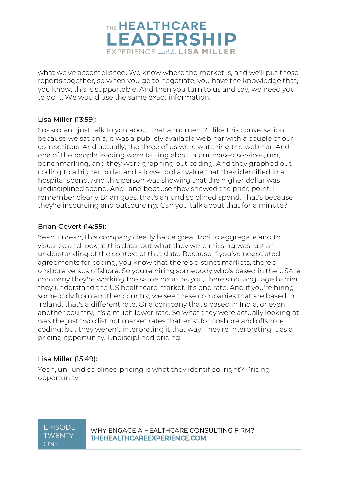

what we've accomplished. We know where the market is, and we'll put those reports together, so when you go to negotiate, you have the knowledge that, you know, this is supportable. And then you turn to us and say, we need you to do it. We would use the same exact information.

#### Lisa Miller [\(13:59\)](https://www.rev.com/transcript-editor/Edit?token=KfLK1sWTJEmL--uhSWolPra6OH8GHSWQntae0yRujQAXu6xH6Dmq6M8knqaB-oGZBIO_vHauwttz9aGMKi8TrfrMmZQ&loadFrom=DocumentDeeplink&ts=839.29):

So- so can I just talk to you about that a moment? I like this conversation because we sat on a, it was a publicly available webinar with a couple of our competitors. And actually, the three of us were watching the webinar. And one of the people leading were talking about a purchased services, um, benchmarking, and they were graphing out coding. And they graphed out coding to a higher dollar and a lower dollar value that they identified in a hospital spend. And this person was showing that the higher dollar was undisciplined spend. And- and because they showed the price point, I remember clearly Brian goes, that's an undisciplined spend. That's because they're insourcing and outsourcing. Can you talk about that for a minute?

#### Brian Covert [\(14:55\)](https://www.rev.com/transcript-editor/Edit?token=G7_oIZObwh9NhLLwfJGXwQRE19se40duGFIOhCo9Ai6yjeyFL_lRfO0f3aOxeNKP2UKoLPBQY2PUv6VHjg2bASR56gk&loadFrom=DocumentDeeplink&ts=895.89):

Yeah. I mean, this company clearly had a great tool to aggregate and to visualize and look at this data, but what they were missing was just an understanding of the context of that data. Because if you've negotiated agreements for coding, you know that there's distinct markets, there's onshore versus offshore. So you're hiring somebody who's based in the USA, a company they're working the same hours as you, there's no language barrier, they understand the US healthcare market. It's one rate. And if you're hiring somebody from another country, we see these companies that are based in Ireland, that's a different rate. Or a company that's based in India, or even another country, it's a much lower rate. So what they were actually looking at was the just two distinct market rates that exist for onshore and offshore coding, but they weren't interpreting it that way. They're interpreting it as a pricing opportunity. Undisciplined pricing.

#### Lisa Miller [\(15:49\)](https://www.rev.com/transcript-editor/Edit?token=aTLqdpD1tFhjroKpkb7feP6-0thBFE9XfhWsyUfmmfsWfENwIOcH6STatmV1HD1uEzihTaEyKdAz9SoEYvBVVhExC_A&loadFrom=DocumentDeeplink&ts=949.4):

Yeah, un- undisciplined pricing is what they identified, right? Pricing opportunity.

# TWENTY-ONE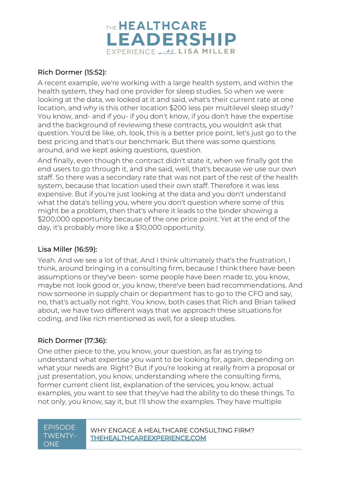

### Rich Dormer [\(15:52\)](https://www.rev.com/transcript-editor/Edit?token=jxOGOQx7oKXUxm5t2YccBzE1JuUXoFcgrHx5tIYTnwzWbAPXjW0uiERddF5-sfjXJ5d-mQPqmbGIhCV9Adpp_0Ud1Hk&loadFrom=DocumentDeeplink&ts=952.16):

A recent example, we're working with a large health system, and within the health system, they had one provider for sleep studies. So when we were looking at the data, we looked at it and said, what's their current rate at one location, and why is this other location \$200 less per multilevel sleep study? You know, and- and if you- if you don't know, if you don't have the expertise and the background of reviewing these contracts, you wouldn't ask that question. You'd be like, oh, look, this is a better price point, let's just go to the best pricing and that's our benchmark. But there was some questions around, and we kept asking questions, question.

And finally, even though the contract didn't state it, when we finally got the end users to go through it, and she said, well, that's because we use our own staff. So there was a secondary rate that was not part of the rest of the health system, because that location used their own staff. Therefore it was less expensive. But if you're just looking at the data and you don't understand what the data's telling you, where you don't question where some of this might be a problem, then that's where it leads to the binder showing a \$200,000 opportunity because of the one price point. Yet at the end of the day, it's probably more like a \$10,000 opportunity.

#### Lisa Miller [\(16:59\)](https://www.rev.com/transcript-editor/Edit?token=tVdRQq2HkOGPB661NvzZXO-0kqKhhOW9VVOI8s3TLjsQwSrmN7IRcSOAFJLZMQi1K4XyeEotpmLr66rVF210wdBvrqA&loadFrom=DocumentDeeplink&ts=1019.67):

Yeah. And we see a lot of that. And I think ultimately that's the frustration, I think, around bringing in a consulting firm, because I think there have been assumptions or they've been- some people have been made to, you know, maybe not look good or, you know, there've been bad recommendations. And now someone in supply chain or department has to go to the CFO and say, no, that's actually not right. You know, both cases that Rich and Brian talked about, we have two different ways that we approach these situations for coding, and like rich mentioned as well, for a sleep studies.

## Rich Dormer [\(17:36\)](https://www.rev.com/transcript-editor/Edit?token=WLym5HrZfnZriXboICjDpxlM8bHByPdF9LZOFGp-ykXiQYiG52owC87ThXIHmAdLnDmMklJs1Tkoe7q590aC0Ahyqik&loadFrom=DocumentDeeplink&ts=1056.27):

One other piece to the, you know, your question, as far as trying to understand what expertise you want to be looking for, again, depending on what your needs are. Right? But if you're looking at really from a proposal or just presentation, you know, understanding where the consulting firms, former current client list, explanation of the services, you know, actual examples, you want to see that they've had the ability to do these things. To not only, you know, say it, but I'll show the examples. They have multiple

# TWENTY-ONE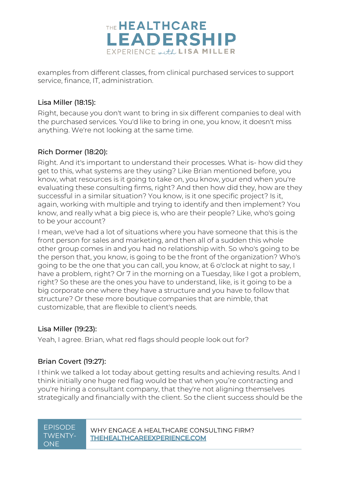

examples from different classes, from clinical purchased services to support service, finance, IT, administration.

### Lisa Miller [\(18:15\)](https://www.rev.com/transcript-editor/Edit?token=aQ8wENNzjH33U7oi6hs9hnUw8gQOebTwk9chp08TFhHrIm9xFoSyLv7JM2E0A6M3ysxsOgGphtQCdUDljL7si5EBCEI&loadFrom=DocumentDeeplink&ts=1095.82):

Right, because you don't want to bring in six different companies to deal with the purchased services. You'd like to bring in one, you know, it doesn't miss anything. We're not looking at the same time.

### Rich Dormer [\(18:20\)](https://www.rev.com/transcript-editor/Edit?token=2pIyQpWpa8QNb-RqgFQ_kKNsIxdiJSmFCAqQKEZWwu7ZcG0KLx6lLHpIbEOA9ms4skTkRl9gYr1F7h7Dq4B-Y6BYXoo&loadFrom=DocumentDeeplink&ts=1100.76):

Right. And it's important to understand their processes. What is- how did they get to this, what systems are they using? Like Brian mentioned before, you know, what resources is it going to take on, you know, your end when you're evaluating these consulting firms, right? And then how did they, how are they successful in a similar situation? You know, is it one specific project? Is it, again, working with multiple and trying to identify and then implement? You know, and really what a big piece is, who are their people? Like, who's going to be your account?

I mean, we've had a lot of situations where you have someone that this is the front person for sales and marketing, and then all of a sudden this whole other group comes in and you had no relationship with. So who's going to be the person that, you know, is going to be the front of the organization? Who's going to be the one that you can call, you know, at 6 o'clock at night to say, I have a problem, right? Or 7 in the morning on a Tuesday, like I got a problem. right? So these are the ones you have to understand, like, is it going to be a big corporate one where they have a structure and you have to follow that structure? Or these more boutique companies that are nimble, that customizable, that are flexible to client's needs.

#### Lisa Miller [\(19:23\)](https://www.rev.com/transcript-editor/Edit?token=EHiVLDuFN1Iij1qx4VS5U5oEj3jvNDHxyv7SHQ3CExe1xsUSZqLijT8uww9R3pmpNz4fwtfNRyljxGs-ZeUUrYBY1c0&loadFrom=DocumentDeeplink&ts=1163.53):

Yeah, I agree. Brian, what red flags should people look out for?

## Brian Covert [\(19:27\)](https://www.rev.com/transcript-editor/Edit?token=unD5RcSb6VysSScaCBiy2Iga_Yfe3wrR5MJZNrQcho906PU4ZYxak0yun39CMillslb4ftC5oZQJp-WoejYGcFDL_Rs&loadFrom=DocumentDeeplink&ts=1167.24):

I think we talked a lot today about getting results and achieving results. And I think initially one huge red flag would be that when you're contracting and you're hiring a consultant company, that they're not aligning themselves strategically and financially with the client. So the client success should be the

# TWENTY-ONE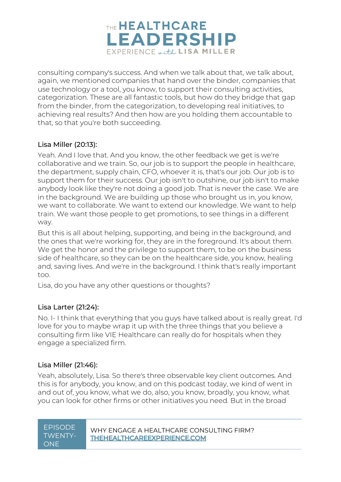

consulting company's success. And when we talk about that, we talk about, again, we mentioned companies that hand over the binder, companies that use technology or a tool, you know, to support their consulting activities, categorization. These are all fantastic tools, but how do they bridge that gap from the binder, from the categorization, to developing real initiatives, to achieving real results? And then how are you holding them accountable to that, so that you're both succeeding.

### Lisa Miller [\(20:13\)](https://www.rev.com/transcript-editor/Edit?token=tkrNI9idMchLMsV36_LTKsSm2G2s4RL50uRtT66PaGlf35a-s2a__8fl38R7zpnY96onT-2B7QlKSe6IFDzWt1D-m74&loadFrom=DocumentDeeplink&ts=1213.11):

Yeah. And I love that. And you know, the other feedback we get is we're collaborative and we train. So, our job is to support the people in healthcare, the department, supply chain, CFO, whoever it is, that's our job. Our job is to support them for their success. Our job isn't to outshine, our job isn't to make anybody look like they're not doing a good job. That is never the case. We are in the background. We are building up those who brought us in, you know, we want to collaborate. We want to extend our knowledge. We want to help train. We want those people to get promotions, to see things in a different way.

But this is all about helping, supporting, and being in the background, and the ones that we're working for, they are in the foreground. It's about them. We get the honor and the privilege to support them, to be on the business side of healthcare, so they can be on the healthcare side, you know, healing and, saving lives. And we're in the background. I think that's really important too.

Lisa, do you have any other questions or thoughts?

#### Lisa Larter [\(21:24\)](https://www.rev.com/transcript-editor/Edit?token=f4BoY-K-j1PkJFK0UWS84_kj_jfZySYta_DKuV4SdyLpR6xmrPzB_HMrd3wlMNcJ1jf54Fpvpxoc7gVE5jQ4NR5IW4E&loadFrom=DocumentDeeplink&ts=1284.42):

No. I- I think that everything that you guys have talked about is really great. I'd love for you to maybe wrap it up with the three things that you believe a consulting firm like VIE Healthcare can really do for hospitals when they engage a specialized firm.

#### Lisa Miller [\(21:46\)](https://www.rev.com/transcript-editor/Edit?token=yEwGG_ymi3xCJrQ_UexA-cxr0OmgTWfDXScoFNP8JGvv2Fazt10c0Tlel61ZdEuqbKIQ-Jv6ZRMVWX5zZAdjgU2oz6I&loadFrom=DocumentDeeplink&ts=1306.04):

Yeah, absolutely, Lisa. So there's three observable key client outcomes. And this is for anybody, you know, and on this podcast today, we kind of went in and out of, you know, what we do, also, you know, broadly, you know, what you can look for other firms or other initiatives you need. But in the broad

| <u>EPISODE</u> |
|----------------|
| TWFNTY-        |
| ONF            |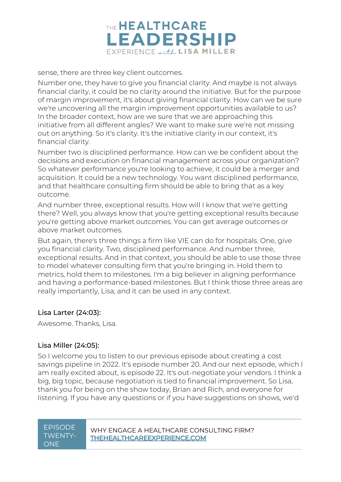

sense, there are three key client outcomes.

Number one, they have to give you financial clarity. And maybe is not always financial clarity, it could be no clarity around the initiative. But for the purpose of margin improvement, it's about giving financial clarity. How can we be sure we're uncovering all the margin improvement opportunities available to us? In the broader context, how are we sure that we are approaching this initiative from all different angles? We want to make sure we're not missing out on anything. So it's clarity. It's the initiative clarity in our context, it's financial clarity.

Number two is disciplined performance. How can we be confident about the decisions and execution on financial management across your organization? So whatever performance you're looking to achieve, it could be a merger and acquisition. It could be a new technology. You want disciplined performance, and that healthcare consulting firm should be able to bring that as a key outcome.

And number three, exceptional results. How will I know that we're getting there? Well, you always know that you're getting exceptional results because you're getting above market outcomes. You can get average outcomes or above market outcomes.

But again, there's three things a firm like VIE can do for hospitals. One, give you financial clarity. Two, disciplined performance. And number three, exceptional results. And in that context, you should be able to use those three to model whatever consulting firm that you're bringing in. Hold them to metrics, hold them to milestones. I'm a big believer in aligning performance and having a performance-based milestones. But I think those three areas are really importantly, Lisa, and it can be used in any context.

#### Lisa Larter [\(24:03\)](https://www.rev.com/transcript-editor/Edit?token=n2Y3TT5OyFlsWWuvN-72vcOHuKkfzBE6ALYV0ksTPj3f_wm8-8L87Ln2drcm3OWrjdGsr2EqaC5bhIHLkwzeLtTqKtk&loadFrom=DocumentDeeplink&ts=1443.67):

Awesome. Thanks, Lisa.

#### Lisa Miller [\(24:05\)](https://www.rev.com/transcript-editor/Edit?token=l4XGRDo5RJdYs-4cSJ7qzoFy0tdxyGljh3bG10I4rGkWwVnHZWsnXRr_S2XvAU-y50wsTxzIctXaFPXJAw2jfleVvbY&loadFrom=DocumentDeeplink&ts=1445.01):

So I welcome you to listen to our previous episode about creating a cost savings pipeline in 2022. It's episode number 20. And our next episode, which I am really excited about, is episode 22. It's out-negotiate your vendors. I think a big, big topic, because negotiation is tied to financial improvement. So Lisa, thank you for being on the show today, Brian and Rich, and everyone for listening. If you have any questions or if you have suggestions on shows, we'd

# TWENTY-ONE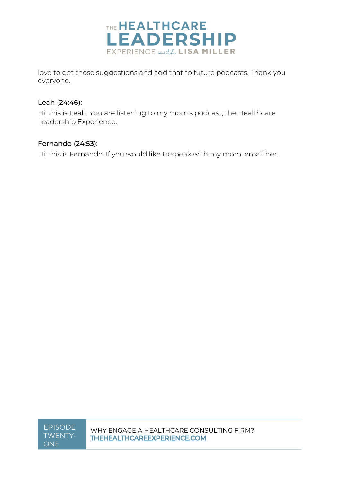

love to get those suggestions and add that to future podcasts. Thank you everyone.

#### Leah [\(24:46\)](https://www.rev.com/transcript-editor/Edit?token=YWXrO8WlsKsGTaM8FLMK68Av8uHTC--dSsFQgThjnR1rSq-tcN87nd96b1egQD64R3xUMfPjtaItsxYL2RWh4h5IfRk&loadFrom=DocumentDeeplink&ts=1486.73):

Hi, this is Leah. You are listening to my mom's podcast, the Healthcare Leadership Experience.

### Fernando [\(24:53\)](https://www.rev.com/transcript-editor/Edit?token=V0mLRZkJ26BuhufXaNS_rfTC0GOr0p6KitnmKUxJHG7hIEjUPGVy8JCiFAU26uPwifnfklnybM8mzxy6LgtFpi6wfzk&loadFrom=DocumentDeeplink&ts=1493.84):

Hi, this is Fernando. If you would like to speak with my mom, email her.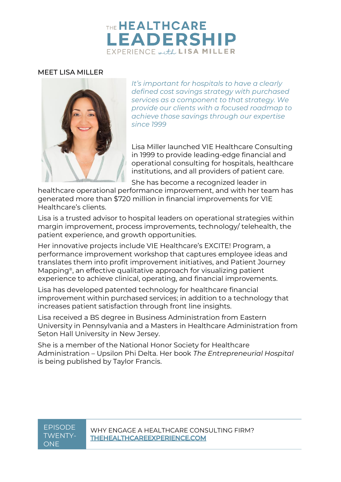# THE **HEALTHCARE LEADERSHIP** EXPERIENCE with LISA MILLER

#### MEET LISA MILLER



*It's important for hospitals to have a clearly defined cost savings strategy with purchased services as a component to that strategy. We provide our clients with a focused roadmap to achieve those savings through our expertise since 1999*

Lisa Miller launched VIE Healthcare Consulting in 1999 to provide leading-edge financial and operational consulting for hospitals, healthcare institutions, and all providers of patient care.

She has become a recognized leader in

healthcare operational performance improvement, and with her team has generated more than \$720 million in financial improvements for VIE Healthcare's clients.

Lisa is a trusted advisor to hospital leaders on operational strategies within margin improvement, process improvements, technology/ telehealth, the patient experience, and growth opportunities.

Her innovative projects include VIE Healthcare's EXCITE! Program, a performance improvement workshop that captures employee ideas and translates them into profit improvement initiatives, and Patient Journey Mapping®, an effective qualitative approach for visualizing patient experience to achieve clinical, operating, and financial improvements.

Lisa has developed patented technology for healthcare financial improvement within purchased services; in addition to a technology that increases patient satisfaction through front line insights.

Lisa received a BS degree in Business Administration from Eastern University in Pennsylvania and a Masters in Healthcare Administration from Seton Hall University in New Jersey.

She is a member of the National Honor Society for Healthcare Administration – Upsilon Phi Delta. Her book *The Entrepreneurial Hospital* is being published by Taylor Francis.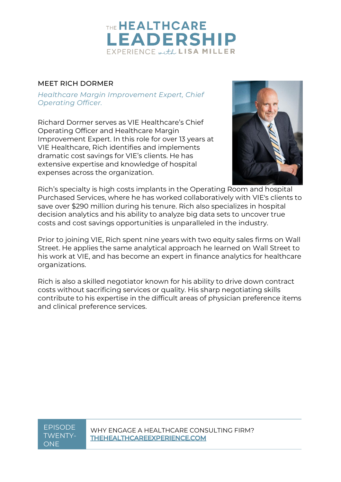

### MEET RICH DORMER

*Healthcare Margin Improvement Expert, Chief Operating Officer.*

Richard Dormer serves as VIE Healthcare's Chief Operating Officer and Healthcare Margin Improvement Expert. In this role for over 13 years at VIE Healthcare, Rich identifies and implements dramatic cost savings for VIE's clients. He has extensive expertise and knowledge of hospital expenses across the organization.



Rich's specialty is high costs implants in the Operating Room and hospital Purchased Services, where he has worked collaboratively with VIE's clients to save over \$290 million during his tenure. Rich also specializes in hospital decision analytics and his ability to analyze big data sets to uncover true costs and cost savings opportunities is unparalleled in the industry.

Prior to joining VIE, Rich spent nine years with two equity sales firms on Wall Street. He applies the same analytical approach he learned on Wall Street to his work at VIE, and has become an expert in finance analytics for healthcare organizations.

Rich is also a skilled negotiator known for his ability to drive down contract costs without sacrificing services or quality. His sharp negotiating skills contribute to his expertise in the difficult areas of physician preference items and clinical preference services.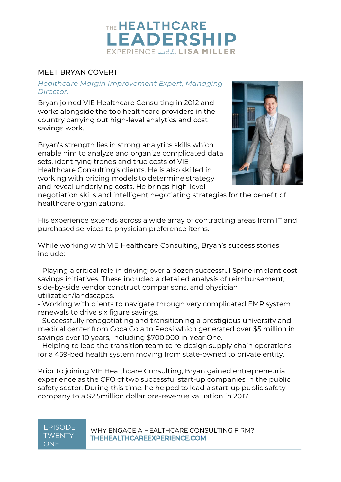

### MEET BRYAN COVERT

#### *Healthcare Margin Improvement Expert, Managing Director.*

Bryan joined VIE Healthcare Consulting in 2012 and works alongside the top healthcare providers in the country carrying out high-level analytics and cost savings work.

Bryan's strength lies in strong analytics skills which enable him to analyze and organize complicated data sets, identifying trends and true costs of VIE Healthcare Consulting's clients. He is also skilled in working with pricing models to determine strategy and reveal underlying costs. He brings high-level



negotiation skills and intelligent negotiating strategies for the benefit of healthcare organizations.

His experience extends across a wide array of contracting areas from IT and purchased services to physician preference items.

While working with VIE Healthcare Consulting, Bryan's success stories include:

- Playing a critical role in driving over a dozen successful Spine implant cost savings initiatives. These included a detailed analysis of reimbursement, side-by-side vendor construct comparisons, and physician utilization/landscapes.

- Working with clients to navigate through very complicated EMR system renewals to drive six figure savings.

- Successfully renegotiating and transitioning a prestigious university and medical center from Coca Cola to Pepsi which generated over \$5 million in savings over 10 years, including \$700,000 in Year One.

- Helping to lead the transition team to re-design supply chain operations for a 459-bed health system moving from state-owned to private entity.

Prior to joining VIE Healthcare Consulting, Bryan gained entrepreneurial experience as the CFO of two successful start-up companies in the public safety sector. During this time, he helped to lead a start-up public safety company to a \$2.5million dollar pre-revenue valuation in 2017.

# TWENTY-ONE